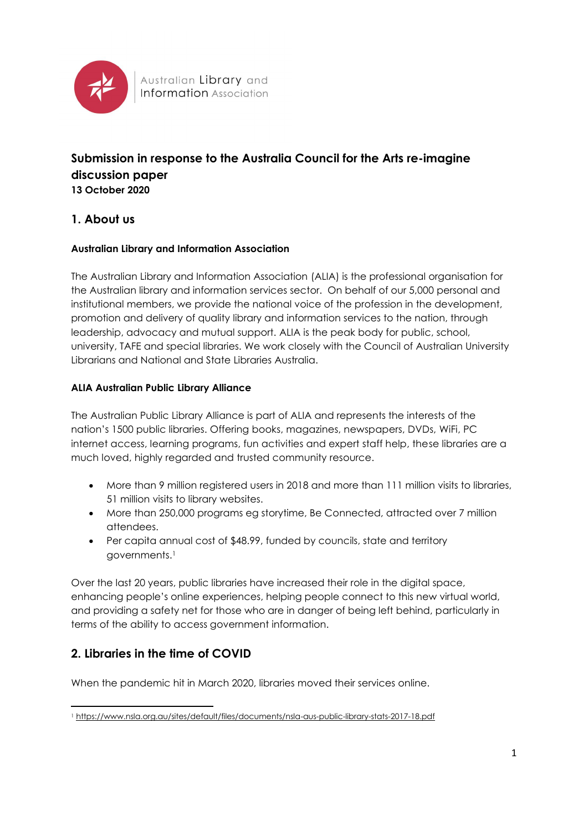

# **Submission in response to the Australia Council for the Arts re-imagine discussion paper 13 October 2020**

# **1. About us**

### **Australian Library and Information Association**

The Australian Library and Information Association (ALIA) is the professional organisation for the Australian library and information services sector. On behalf of our 5,000 personal and institutional members, we provide the national voice of the profession in the development, promotion and delivery of quality library and information services to the nation, through leadership, advocacy and mutual support. ALIA is the peak body for public, school, university, TAFE and special libraries. We work closely with the Council of Australian University Librarians and National and State Libraries Australia.

### **ALIA Australian Public Library Alliance**

The Australian Public Library Alliance is part of ALIA and represents the interests of the nation's 1500 public libraries. Offering books, magazines, newspapers, DVDs, WiFi, PC internet access, learning programs, fun activities and expert staff help, these libraries are a much loved, highly regarded and trusted community resource.

- More than 9 million registered users in 2018 and more than 111 million visits to libraries, 51 million visits to library websites.
- More than 250,000 programs eg storytime, Be Connected, attracted over 7 million attendees.
- Per capita annual cost of \$48.99, funded by councils, state and territory governments.<sup>1</sup>

Over the last 20 years, public libraries have increased their role in the digital space, enhancing people's online experiences, helping people connect to this new virtual world, and providing a safety net for those who are in danger of being left behind, particularly in terms of the ability to access government information.

## **2. Libraries in the time of COVID**

When the pandemic hit in March 2020, libraries moved their services online.

<sup>1</sup> <https://www.nsla.org.au/sites/default/files/documents/nsla-aus-public-library-stats-2017-18.pdf>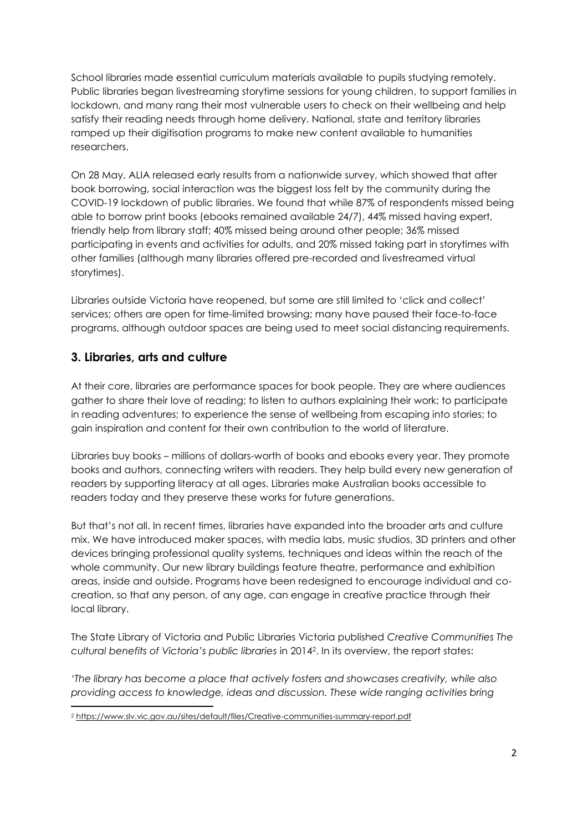School libraries made essential curriculum materials available to pupils studying remotely. Public libraries began livestreaming storytime sessions for young children, to support families in lockdown, and many rang their most vulnerable users to check on their wellbeing and help satisfy their reading needs through home delivery. National, state and territory libraries ramped up their digitisation programs to make new content available to humanities researchers.

On 28 May, ALIA released early results from a nationwide survey, which showed that after book borrowing, social interaction was the biggest loss felt by the community during the COVID-19 lockdown of public libraries. We found that while 87% of respondents missed being able to borrow print books (ebooks remained available 24/7), 44% missed having expert, friendly help from library staff; 40% missed being around other people; 36% missed participating in events and activities for adults, and 20% missed taking part in storytimes with other families (although many libraries offered pre-recorded and livestreamed virtual storytimes).

Libraries outside Victoria have reopened, but some are still limited to 'click and collect' services; others are open for time-limited browsing; many have paused their face-to-face programs, although outdoor spaces are being used to meet social distancing requirements.

## **3. Libraries, arts and culture**

At their core, libraries are performance spaces for book people. They are where audiences gather to share their love of reading; to listen to authors explaining their work; to participate in reading adventures; to experience the sense of wellbeing from escaping into stories; to gain inspiration and content for their own contribution to the world of literature.

Libraries buy books – millions of dollars-worth of books and ebooks every year. They promote books and authors, connecting writers with readers. They help build every new generation of readers by supporting literacy at all ages. Libraries make Australian books accessible to readers today and they preserve these works for future generations.

But that's not all. In recent times, libraries have expanded into the broader arts and culture mix. We have introduced maker spaces, with media labs, music studios, 3D printers and other devices bringing professional quality systems, techniques and ideas within the reach of the whole community. Our new library buildings feature theatre, performance and exhibition areas, inside and outside. Programs have been redesigned to encourage individual and cocreation, so that any person, of any age, can engage in creative practice through their local library.

The State Library of Victoria and Public Libraries Victoria published *Creative Communities The cultural benefits of Victoria's public libraries* in 20142. In its overview, the report states:

*'The library has become a place that actively fosters and showcases creativity, while also providing access to knowledge, ideas and discussion. These wide ranging activities bring* 

<sup>2</sup> <https://www.slv.vic.gov.au/sites/default/files/Creative-communities-summary-report.pdf>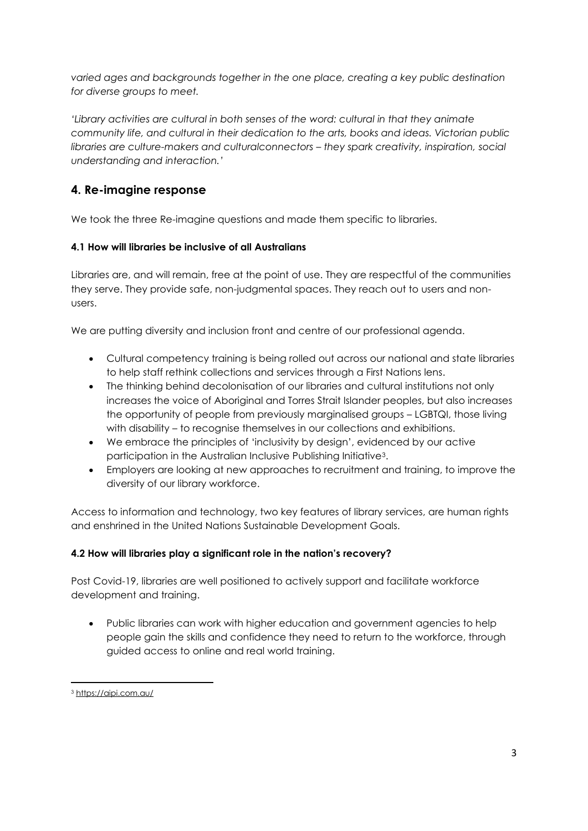*varied ages and backgrounds together in the one place, creating a key public destination for diverse groups to meet.* 

*'Library activities are cultural in both senses of the word: cultural in that they animate community life, and cultural in their dedication to the arts, books and ideas. Victorian public libraries are culture-makers and culturalconnectors – they spark creativity, inspiration, social understanding and interaction.'*

# **4. Re-imagine response**

We took the three Re-imagine questions and made them specific to libraries.

### **4.1 How will libraries be inclusive of all Australians**

Libraries are, and will remain, free at the point of use. They are respectful of the communities they serve. They provide safe, non-judgmental spaces. They reach out to users and nonusers.

We are putting diversity and inclusion front and centre of our professional agenda.

- Cultural competency training is being rolled out across our national and state libraries to help staff rethink collections and services through a First Nations lens.
- The thinking behind decolonisation of our libraries and cultural institutions not only increases the voice of Aboriginal and Torres Strait Islander peoples, but also increases the opportunity of people from previously marginalised groups – LGBTQI, those living with disability – to recognise themselves in our collections and exhibitions.
- We embrace the principles of 'inclusivity by design', evidenced by our active participation in the Australian Inclusive Publishing Initiative3.
- Employers are looking at new approaches to recruitment and training, to improve the diversity of our library workforce.

Access to information and technology, two key features of library services, are human rights and enshrined in the United Nations Sustainable Development Goals.

### **4.2 How will libraries play a significant role in the nation's recovery?**

Post Covid-19, libraries are well positioned to actively support and facilitate workforce development and training.

• Public libraries can work with higher education and government agencies to help people gain the skills and confidence they need to return to the workforce, through guided access to online and real world training.

<sup>3</sup> <https://aipi.com.au/>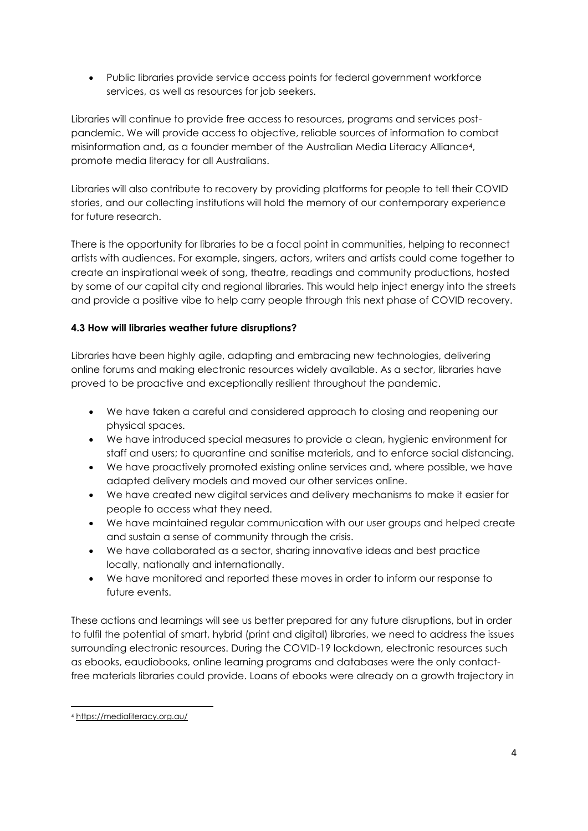• Public libraries provide service access points for federal government workforce services, as well as resources for job seekers.

Libraries will continue to provide free access to resources, programs and services postpandemic. We will provide access to objective, reliable sources of information to combat misinformation and, as a founder member of the Australian Media Literacy Alliance4, promote media literacy for all Australians.

Libraries will also contribute to recovery by providing platforms for people to tell their COVID stories, and our collecting institutions will hold the memory of our contemporary experience for future research.

There is the opportunity for libraries to be a focal point in communities, helping to reconnect artists with audiences. For example, singers, actors, writers and artists could come together to create an inspirational week of song, theatre, readings and community productions, hosted by some of our capital city and regional libraries. This would help inject energy into the streets and provide a positive vibe to help carry people through this next phase of COVID recovery.

### **4.3 How will libraries weather future disruptions?**

Libraries have been highly agile, adapting and embracing new technologies, delivering online forums and making electronic resources widely available. As a sector, libraries have proved to be proactive and exceptionally resilient throughout the pandemic.

- We have taken a careful and considered approach to closing and reopening our physical spaces.
- We have introduced special measures to provide a clean, hygienic environment for staff and users; to quarantine and sanitise materials, and to enforce social distancing.
- We have proactively promoted existing online services and, where possible, we have adapted delivery models and moved our other services online.
- We have created new digital services and delivery mechanisms to make it easier for people to access what they need.
- We have maintained regular communication with our user groups and helped create and sustain a sense of community through the crisis.
- We have collaborated as a sector, sharing innovative ideas and best practice locally, nationally and internationally.
- We have monitored and reported these moves in order to inform our response to future events.

These actions and learnings will see us better prepared for any future disruptions, but in order to fulfil the potential of smart, hybrid (print and digital) libraries, we need to address the issues surrounding electronic resources. During the COVID-19 lockdown, electronic resources such as ebooks, eaudiobooks, online learning programs and databases were the only contactfree materials libraries could provide. Loans of ebooks were already on a growth trajectory in

<sup>4</sup> <https://medialiteracy.org.au/>